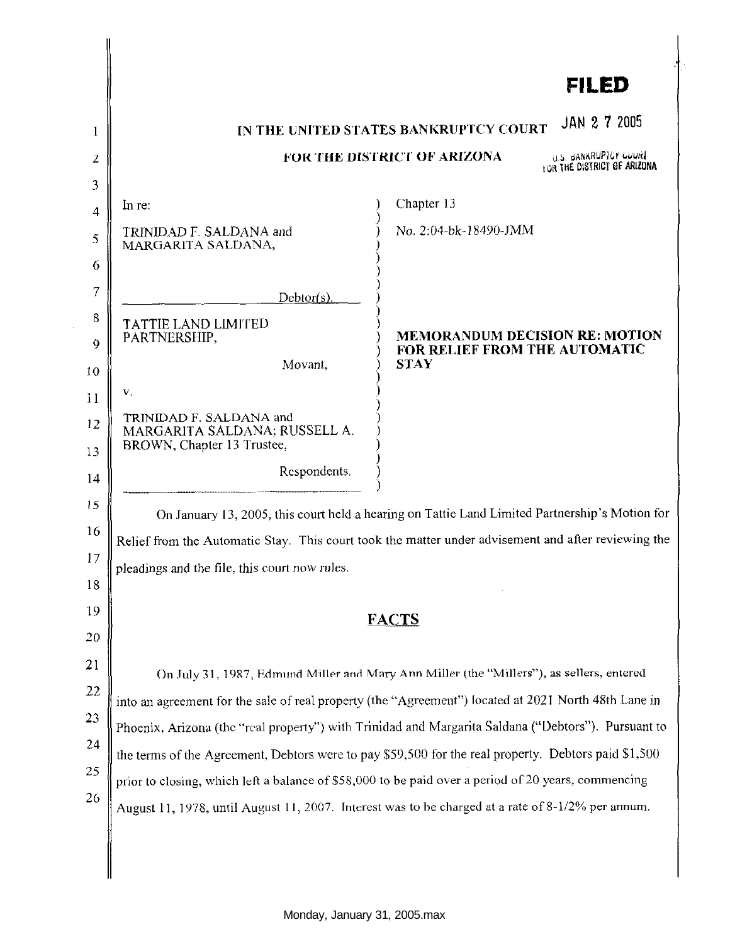|    |                                                                                                                                                                                                                                                                                                         | <b>FILED</b>                                                           |
|----|---------------------------------------------------------------------------------------------------------------------------------------------------------------------------------------------------------------------------------------------------------------------------------------------------------|------------------------------------------------------------------------|
| 1  | JAN 2 7 2005<br>IN THE UNITED STATES BANKRUPTCY COURT                                                                                                                                                                                                                                                   |                                                                        |
| 2  | U.S. GANKRUPTOY LUURT<br><b>FOR THE DISTRICT OF ARIZONA</b>                                                                                                                                                                                                                                             |                                                                        |
| 3  |                                                                                                                                                                                                                                                                                                         | LOR THE DISTRICT OF ARIZONA                                            |
| 4  | In re:                                                                                                                                                                                                                                                                                                  | Chapter 13                                                             |
| 5  | TRINIDAD F. SALDANA and<br>MARGARITA SALDANA,                                                                                                                                                                                                                                                           | No. 2:04-bk-18490-JMM                                                  |
| 6  |                                                                                                                                                                                                                                                                                                         |                                                                        |
| 7  | Debtor(s).                                                                                                                                                                                                                                                                                              |                                                                        |
| 8  | <b>TATTIE LAND LIMITED</b>                                                                                                                                                                                                                                                                              |                                                                        |
| 9  | PARTNERSHIP,                                                                                                                                                                                                                                                                                            | <b>MEMORANDUM DECISION RE: MOTION</b><br>FOR RELIEF FROM THE AUTOMATIC |
| 10 | Movant,                                                                                                                                                                                                                                                                                                 | <b>STAY</b>                                                            |
| 11 | V.                                                                                                                                                                                                                                                                                                      |                                                                        |
| 12 | TRINIDAD F. SALDANA and<br>MARGARITA SALDANA; RUSSELL A.                                                                                                                                                                                                                                                |                                                                        |
| 13 | BROWN, Chapter 13 Trustee,                                                                                                                                                                                                                                                                              |                                                                        |
| 14 | Respondents.                                                                                                                                                                                                                                                                                            |                                                                        |
| 15 | On January 13, 2005, this court held a hearing on Tattie Land Limited Partnership's Motion for                                                                                                                                                                                                          |                                                                        |
| 16 | Relief from the Automatic Stay. This court took the matter under advisement and after reviewing the                                                                                                                                                                                                     |                                                                        |
| 17 | pleadings and the file, this court now rules                                                                                                                                                                                                                                                            |                                                                        |
| 18 |                                                                                                                                                                                                                                                                                                         |                                                                        |
| 19 |                                                                                                                                                                                                                                                                                                         | <b>FACTS</b>                                                           |
| 20 |                                                                                                                                                                                                                                                                                                         |                                                                        |
| 21 | On July 31, 1987, Edmund Miller and Mary Ann Miller (the "Millers"), as sellers, entered<br>into an agreement for the sale of real property (the "Agreement") located at 2021 North 48th Lane in<br>Phoenix, Arizona (the "real property") with Trinidad and Margarita Saldana ("Debtors"). Pursuant to |                                                                        |
| 22 |                                                                                                                                                                                                                                                                                                         |                                                                        |
| 23 |                                                                                                                                                                                                                                                                                                         |                                                                        |
| 24 | the terms of the Agreement, Debtors were to pay \$59,500 for the real property. Debtors paid \$1,500                                                                                                                                                                                                    |                                                                        |
| 25 | prior to closing, which left a balance of \$58,000 to be paid over a period of 20 years, commencing                                                                                                                                                                                                     |                                                                        |
| 26 | August 11, 1978, until August 11, 2007. Interest was to be charged at a rate of 8-1/2% per annum.                                                                                                                                                                                                       |                                                                        |
|    |                                                                                                                                                                                                                                                                                                         |                                                                        |

 $\sim$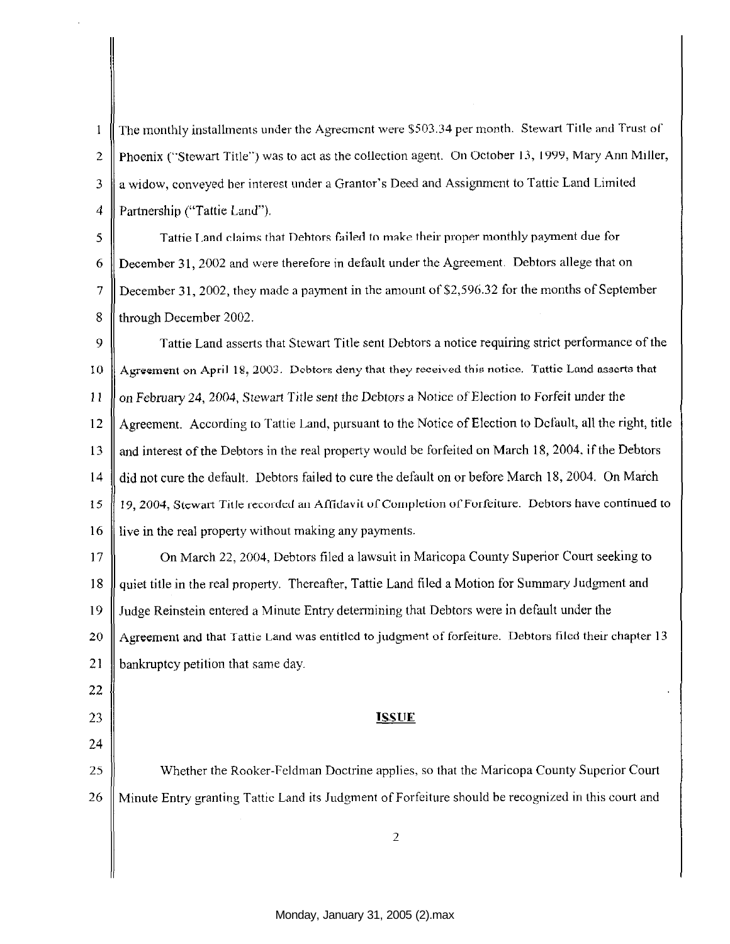The monthly installments under the Agreement were \$503.34 per month. Stewart Title and Trust of  $\mathbf{1}$ 2 Phoenix ("Stewart Title'') was to act as the collection agent. On October 13, 1999, Mary Ann Miller, 3 a widow, conveyed her interest under a Grantor's Deed and Assignment to Tattie Land Limited 4 Partnership ("Tattie Land").

 $5 \parallel$  Tattie Land claims that Debtors failed to make their proper monthly payment due for 6 December 31, 2002 and were therefore in default under the Agreement. Debtors allege that on 7 December 31, 2002, they made a payment in the amount of \$2,596.32 for the months of September 8 fl through December 2002.

9 Tattie Land asserts that Stewart Title sent Debtors a notice requiring strict performance of the 10  $\parallel$  Agreement on April 18, 2003. Debtors deny that they received this notice. Tattic Land asserts that II on February 24, 2004, Stewart Title sent the Debtors a Notice of EJection to Forfeit under the 12 Agreement. According to Tattie Land, pursuant to the Notice of Election to Default, all the right, title 13 and interest of the Debtors in the real property would be forfeited on March 18, 2004, if the Debtors 14 did not cure the default. Debtors failed to cure the default on or before March !8, 2004. On March 15 || 19, 2004, Stewart Title recorded an Affidavit of Completion of Forfeiture. Debtors have continued to 16 If live in the real property without making any payments.

17 **On March 22, 2004, Debtors filed a lawsuit in Maricopa County Superior Court seeking to** 18 quiet title in the real property. Thereafter, Tattie Land filed a Motion for Summary Judgment and 19 Judge Reinstein entered a Minute Entry determining that Debtors were in default under the 20 Agreement and that Tattie Land was entitled to judgment of forfeiture. Debtors filed their chapter 13 21 **bankruptcy petition that same day.** 

## 23 **ISSUE**

25 Whether the Rooker-Feldman Doctrine applies, so that the Maricopa County Superior Court 26 Minute Entry granting Tattic Land its Judgment of Forfeiture should be recognized in this court and

22

24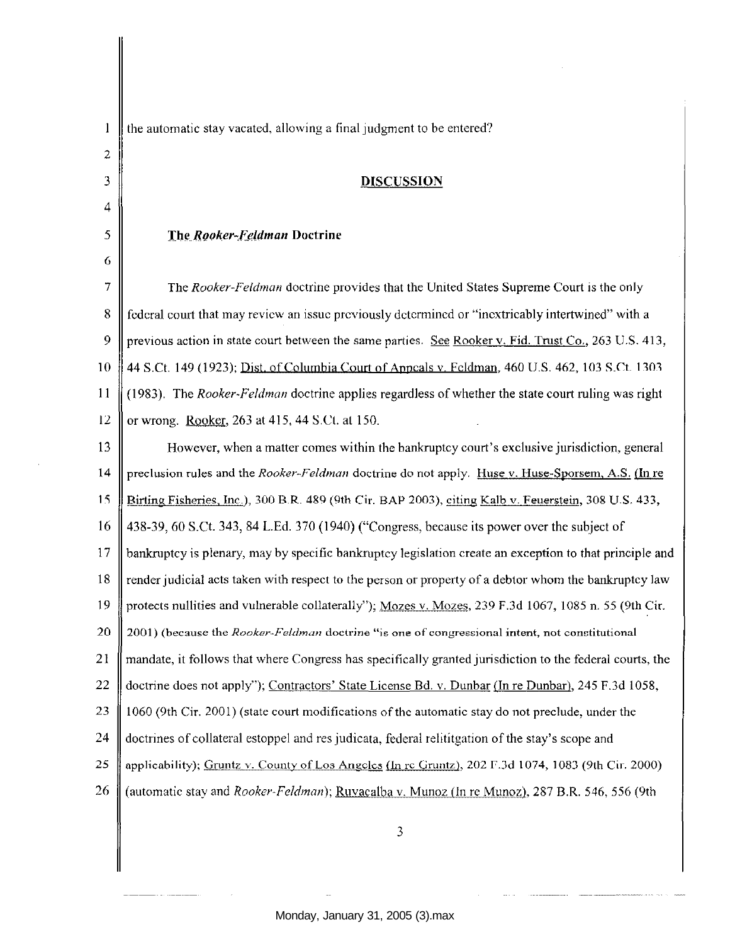| $\mathbf{1}$ | the automatic stay vacated, allowing a final judgment to be entered?                                     |  |  |
|--------------|----------------------------------------------------------------------------------------------------------|--|--|
| 2            |                                                                                                          |  |  |
| 3            | <b>DISCUSSION</b>                                                                                        |  |  |
| 4            |                                                                                                          |  |  |
| 5            | The Rooker-Feldman Doctrine                                                                              |  |  |
| 6            |                                                                                                          |  |  |
| 7            | The Rooker-Feldman doctrine provides that the United States Supreme Court is the only                    |  |  |
| 8            | federal court that may review an issue previously determined or "inextricably intertwined" with a        |  |  |
| 9            | previous action in state court between the same parties. See Rooker v. Fid. Trust Co., 263 U.S. 413,     |  |  |
| 10           | 44 S.Ct. 149 (1923); Dist. of Columbia Court of Appeals v. Feldman, 460 U.S. 462, 103 S.Ct. 1303         |  |  |
| 11           | (1983). The Rooker-Feldman doctrine applies regardless of whether the state court ruling was right       |  |  |
| 12           | or wrong. Rooker, 263 at 415, 44 S.Ct. at 150.                                                           |  |  |
| 13           | However, when a matter comes within the bankruptcy court's exclusive jurisdiction, general               |  |  |
| 14           | preclusion rules and the Rooker-Feldman doctrine do not apply. Huse v. Huse-Sporsem, A.S. (In re         |  |  |
| 15           | Birting Fisheries, Inc.), 300 B.R. 489 (9th Cir. BAP 2003), citing Kalb v. Feuerstein, 308 U.S. 433,     |  |  |
| 16           | 438-39, 60 S.Ct. 343, 84 L.Ed. 370 (1940) ("Congress, because its power over the subject of              |  |  |
| 17           | bankruptcy is plenary, may by specific bankruptcy legislation create an exception to that principle and  |  |  |
| 18           | render judicial acts taken with respect to the person or property of a debtor whom the bankruptcy law    |  |  |
| 19           | protects nullities and vulnerable collaterally"); Mozes v. Mozes, 239 F.3d 1067, 1085 n. 55 (9th Cir.    |  |  |
| 20           | 2001) (because the Rooker-Feldman doctrine "is one of congressional intent, not constitutional           |  |  |
| 21           | mandate, it follows that where Congress has specifically granted jurisdiction to the federal courts, the |  |  |
| 22           | doctrine does not apply"); Contractors' State License Bd. v. Dunbar (In re Dunbar), 245 F.3d 1058,       |  |  |
| 23           | 1060 (9th Cir. 2001) (state court modifications of the automatic stay do not preclude, under the         |  |  |
| 24           | doctrines of collateral estoppel and res judicata, federal relititgation of the stay's scope and         |  |  |
| 25           | applicability); Gruntz v. County of Los Angeles (In re Gruntz), 202 F.3d 1074, 1083 (9th Cir. 2000)      |  |  |
| 26           | (automatic stay and Rooker-Feldman); Ruvacalba v. Munoz (In re Munoz), 287 B.R. 546, 556 (9th            |  |  |
|              |                                                                                                          |  |  |
|              | 3                                                                                                        |  |  |
|              |                                                                                                          |  |  |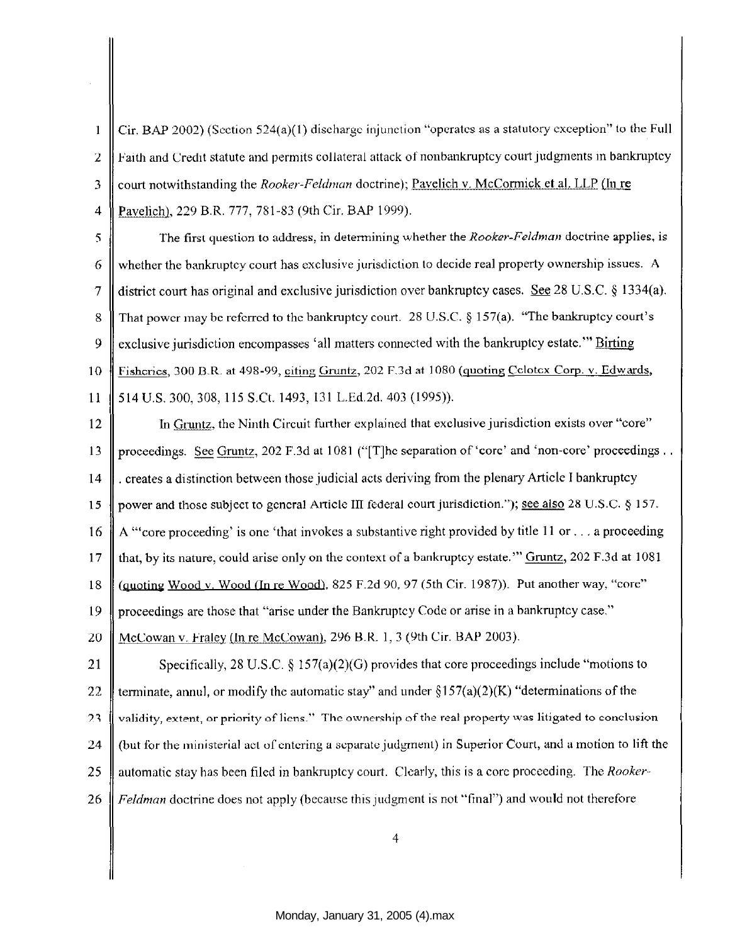Cir. BAP 2002) (Section 524(a)(l) discharge injunction "operates as a statutory exception" to the Full  $\mathbf{1}$ 2. Faith and Credit statute and permits collateral attack of nonbankruptcy court judgments in bankruptcy 3 court notwithstanding the *Rooker-Feldman* doctrine); <u>Pavelich v. McCormick et al. LLP</u> (In re 4 | Pavelich), 229 B.R. 777, 781-83 (9th Cir. BAP 1999).

5 The first question to address, in determining whether the *Rooker-Feldman* doctrine applies, is 6 whether the bankmptcy court has exclusive jurisdiction to decide real property ownership issues. A 7 district court has original and exclusive jurisdiction over bankruptcy cases. See 28 U.S.C. § 1334(a). 8 That power may be referred to the bankruptcy court. 28 U.S.C. § 157(a). "The bankruptcy court's 9  $\parallel$  exclusive jurisdiction encompasses 'all matters connected with the bankruptcy estate." Birting 10 Fisheries, 300 B.R. at 498-99, citing Gruntz, 202 F.Jd at 1080 (guoting Cclotcx Corp. v. Edwards, 11 514 U.S. 300,308, 115 S.Ct. 1493, 131 L.Ed.2d. 403 (1995)).

12 | In Gruntz, the Ninth Circuit further explained that exclusive jurisdiction exists over "core" 13 proceedings. See Gruntz, 202 F.3d at I 081 ("[T]hc separation of 'core' and 'non-core' proceedings .. 14 . creates a distinction between those judicial acts deriving from the plenary Article I bankruptcy 15 power and those subject to general Article III federal court jurisdiction."); see also 28 U.S.C. *§* 157. 16 A "'core proceeding' is one 'that invokes a substantive right provided by title 11 or ... a proceeding 17  $\parallel$  that, by its nature, could arise only on the context of a bankruptcy estate." Gruntz, 202 F.3d at 1081 18  $\parallel$  (quoting Wood v. Wood (In re Wood), 825 F.2d 90, 97 (5th Cir. 1987)). Put another way, "core" 19 proceedings are those that "arise under the Bankmptcy Code or arise in a bankruptcy case." 20  $\parallel$  McCowan v. Fraley (In re McCowan), 296 B.R. 1, 3 (9th Cir. BAP 2003). 21 Specifically, 28 U.S.C.  $\S 157(a)(2)(G)$  provides that core proceedings include "motions to 22 terminate, annul, or modify the automatic stay" and under  $$157(a)(2)(K)$  "determinations of the

23 **| validity, extent, or priority of liens.**" The ownership of the real property was litigated to conclusion 24 | (but for the ministerial act of entering a separate judgment) in Superior Court, and a motion to lift the

- 25 || automatic stay has been filed in bankruptcy court. Clearly, this is a core proceeding. The *Rooker*-
- 26 *Feldman* doctrine does not apply (because this judgment is not "final") and would not therefore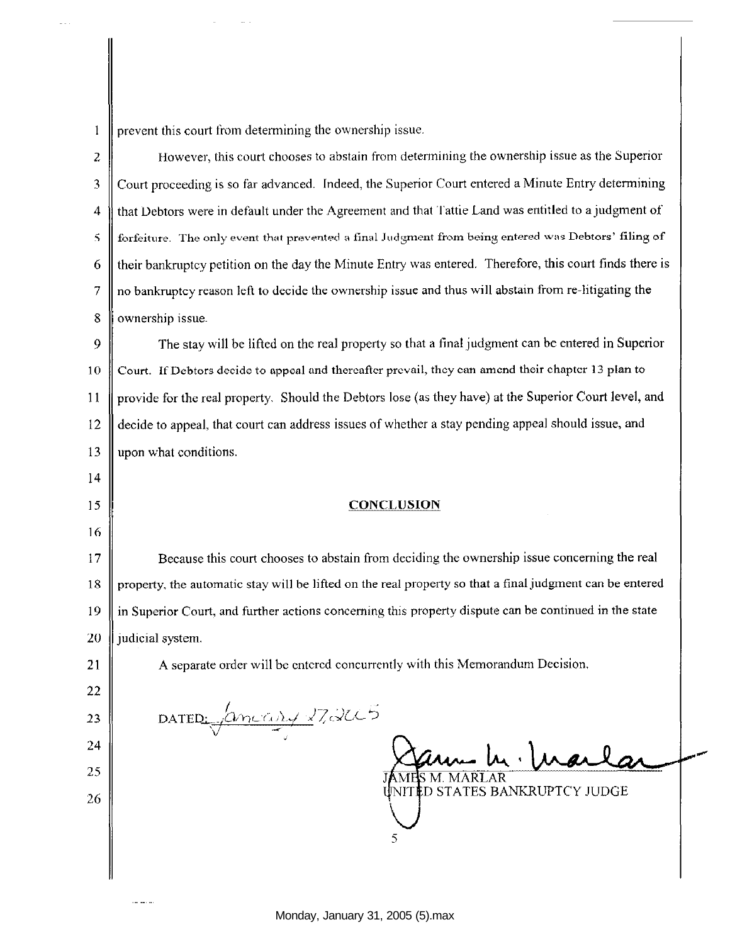prevent this court from determining the ownership issue.  $\mathbf{1}$ 

2 **H** However, this court chooses to abstain from determining the ownership issue as the Superior 3 Court proceeding is so far advanced. Indeed, the Superior Court entered a Minute Entry determining 4 that Debtors were in default under the Agreement and that Tattie Land was entitled to a judgment of  $\bf 5$  || forfeiture. The only event that prevented a final Judgment from being entered was Debtors' filing of 6 their bankruptcy petition on the day the Minute Entry was entered. Therefore, this court finds there is 7 no bankruptcy reason left to decide the ownership issue and thus will abstain from re-litigating the 8 ownership issue.

9 The stay will be lifted on the real property so that a final judgment can be entered in Superior 10 Court. If Debtors decide to appeal and thereafter prevail, they can amend their chapter 13 plan to II provide for the real property. Should the Debtors lose (as they have) at the Superior Court level, and 12 decide to appeal, that court can address issues of whether a stay pending appeal should issue, and 13 upon what conditions.

## 15 **CONCLUSION**

17 Because this court chooses to abstain from deciding the ownership issue concerning the real  $18 \parallel$  property, the automatic stay will be lifted on the real property so that a final judgment can be entered 19 in Superior Court, and further actions concerning this property dispute can be continued in the state 20  $\parallel$  judicial system.

21 A separate order will be entered concurrently with this Memorandum Decision.

DATED:  $\sqrt{2mc\omega}$  272005

14

16

22

23

24

25 || **IAMPS M. MARLAR** 

<sup>26</sup>D STATES BANKRUPTCY JUDGE